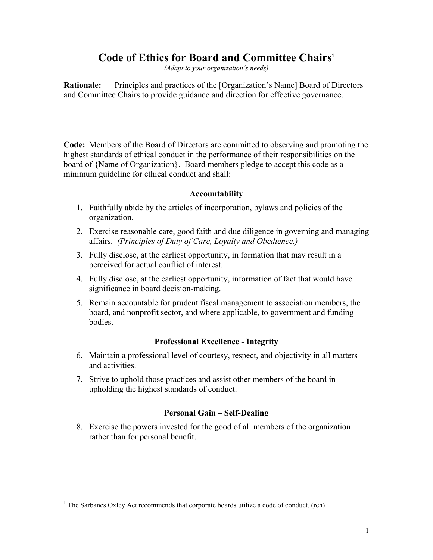# **Code of Ethics for Board and Committee Chair[s1](#page-0-0)**

*(Adapt to your organization's needs)*

**Rationale:** Principles and practices of the [Organization's Name] Board of Directors and Committee Chairs to provide guidance and direction for effective governance.

**Code:** Members of the Board of Directors are committed to observing and promoting the highest standards of ethical conduct in the performance of their responsibilities on the board of {Name of Organization}. Board members pledge to accept this code as a minimum guideline for ethical conduct and shall:

### **Accountability**

- 1. Faithfully abide by the articles of incorporation, bylaws and policies of the organization.
- 2. Exercise reasonable care, good faith and due diligence in governing and managing affairs. *(Principles of Duty of Care, Loyalty and Obedience.)*
- 3. Fully disclose, at the earliest opportunity, in formation that may result in a perceived for actual conflict of interest.
- 4. Fully disclose, at the earliest opportunity, information of fact that would have significance in board decision-making.
- 5. Remain accountable for prudent fiscal management to association members, the board, and nonprofit sector, and where applicable, to government and funding bodies.

## **Professional Excellence - Integrity**

- 6. Maintain a professional level of courtesy, respect, and objectivity in all matters and activities.
- 7. Strive to uphold those practices and assist other members of the board in upholding the highest standards of conduct.

## **Personal Gain – Self-Dealing**

8. Exercise the powers invested for the good of all members of the organization rather than for personal benefit.

 $\overline{\phantom{a}}$ 

<span id="page-0-0"></span><sup>&</sup>lt;sup>1</sup> The Sarbanes Oxley Act recommends that corporate boards utilize a code of conduct. (rch)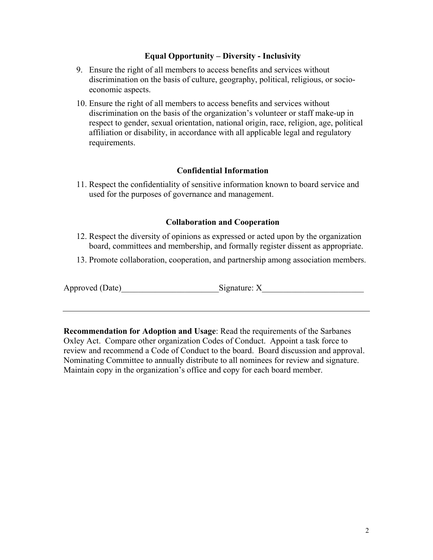### **Equal Opportunity – Diversity - Inclusivity**

- 9. Ensure the right of all members to access benefits and services without discrimination on the basis of culture, geography, political, religious, or socioeconomic aspects.
- 10. Ensure the right of all members to access benefits and services without discrimination on the basis of the organization's volunteer or staff make-up in respect to gender, sexual orientation, national origin, race, religion, age, political affiliation or disability, in accordance with all applicable legal and regulatory requirements.

### **Confidential Information**

11. Respect the confidentiality of sensitive information known to board service and used for the purposes of governance and management.

### **Collaboration and Cooperation**

- 12. Respect the diversity of opinions as expressed or acted upon by the organization board, committees and membership, and formally register dissent as appropriate.
- 13. Promote collaboration, cooperation, and partnership among association members.

Approved (Date) Signature: X

**Recommendation for Adoption and Usage**: Read the requirements of the Sarbanes Oxley Act. Compare other organization Codes of Conduct. Appoint a task force to review and recommend a Code of Conduct to the board. Board discussion and approval. Nominating Committee to annually distribute to all nominees for review and signature. Maintain copy in the organization's office and copy for each board member.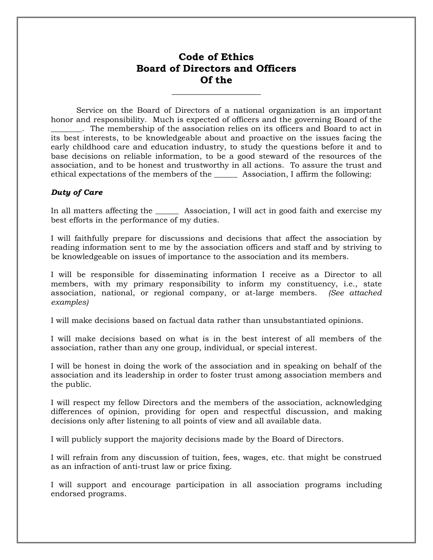# **Code of Ethics Board of Directors and Officers Of the**

**\_\_\_\_\_\_\_\_\_\_\_\_\_\_\_\_\_\_\_\_\_**

Service on the Board of Directors of a national organization is an important honor and responsibility. Much is expected of officers and the governing Board of the \_\_\_\_\_\_\_\_. The membership of the association relies on its officers and Board to act in its best interests, to be knowledgeable about and proactive on the issues facing the early childhood care and education industry, to study the questions before it and to base decisions on reliable information, to be a good steward of the resources of the association, and to be honest and trustworthy in all actions. To assure the trust and ethical expectations of the members of the \_\_\_\_\_\_ Association, I affirm the following:

### *Duty of Care*

In all matters affecting the \_\_\_\_\_\_\_\_ Association, I will act in good faith and exercise my best efforts in the performance of my duties.

I will faithfully prepare for discussions and decisions that affect the association by reading information sent to me by the association officers and staff and by striving to be knowledgeable on issues of importance to the association and its members.

I will be responsible for disseminating information I receive as a Director to all members, with my primary responsibility to inform my constituency, i.e., state association, national, or regional company, or at-large members. *(See attached examples)*

I will make decisions based on factual data rather than unsubstantiated opinions.

I will make decisions based on what is in the best interest of all members of the association, rather than any one group, individual, or special interest.

I will be honest in doing the work of the association and in speaking on behalf of the association and its leadership in order to foster trust among association members and the public.

I will respect my fellow Directors and the members of the association, acknowledging differences of opinion, providing for open and respectful discussion, and making decisions only after listening to all points of view and all available data.

I will publicly support the majority decisions made by the Board of Directors.

I will refrain from any discussion of tuition, fees, wages, etc. that might be construed as an infraction of anti-trust law or price fixing.

I will support and encourage participation in all association programs including endorsed programs.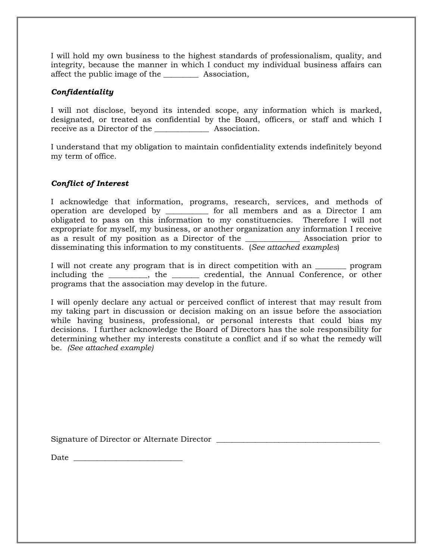I will hold my own business to the highest standards of professionalism, quality, and integrity, because the manner in which I conduct my individual business affairs can affect the public image of the \_\_\_\_\_\_\_\_\_ Association,

### *Confidentiality*

I will not disclose, beyond its intended scope, any information which is marked, designated, or treated as confidential by the Board, officers, or staff and which I receive as a Director of the \_\_\_\_\_\_\_\_\_\_\_\_\_\_ Association.

I understand that my obligation to maintain confidentiality extends indefinitely beyond my term of office.

### *Conflict of Interest*

I acknowledge that information, programs, research, services, and methods of operation are developed by \_\_\_\_\_\_\_\_\_\_\_ for all members and as a Director I am obligated to pass on this information to my constituencies. Therefore I will not expropriate for myself, my business, or another organization any information I receive as a result of my position as a Director of the \_\_\_\_\_\_\_\_\_\_\_\_\_\_ Association prior to disseminating this information to my constituents. (*See attached examples*)

I will not create any program that is in direct competition with an \_\_\_\_\_\_\_\_ program including the \_\_\_\_\_\_\_\_\_\_, the \_\_\_\_\_\_\_ credential, the Annual Conference, or other programs that the association may develop in the future.

I will openly declare any actual or perceived conflict of interest that may result from my taking part in discussion or decision making on an issue before the association while having business, professional, or personal interests that could bias my decisions. I further acknowledge the Board of Directors has the sole responsibility for determining whether my interests constitute a conflict and if so what the remedy will be. *(See attached example)*

Signature of Director or Alternate Director \_\_\_\_\_\_\_\_\_\_\_\_\_\_\_\_\_\_\_\_\_\_\_\_\_\_\_\_\_\_\_\_\_\_\_\_\_\_\_\_\_\_

 $Date$   $\Box$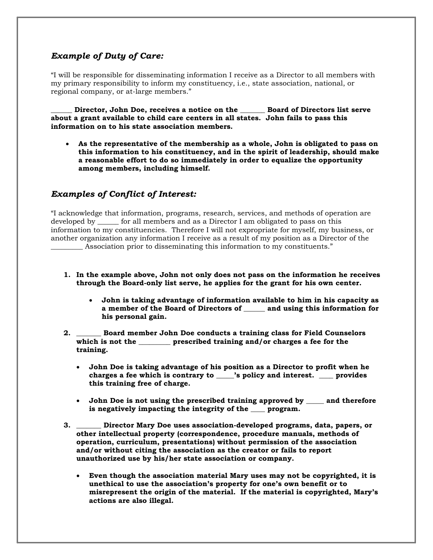# *Example of Duty of Care:*

"I will be responsible for disseminating information I receive as a Director to all members with my primary responsibility to inform my constituency, i.e., state association, national, or regional company, or at-large members."

**\_\_\_\_\_\_ Director, John Doe, receives a notice on the \_\_\_\_\_\_\_ Board of Directors list serve about a grant available to child care centers in all states. John fails to pass this information on to his state association members.** 

• **As the representative of the membership as a whole, John is obligated to pass on this information to his constituency, and in the spirit of leadership, should make a reasonable effort to do so immediately in order to equalize the opportunity among members, including himself.** 

# *Examples of Conflict of Interest:*

"I acknowledge that information, programs, research, services, and methods of operation are developed by \_\_\_\_\_\_ for all members and as a Director I am obligated to pass on this information to my constituencies. Therefore I will not expropriate for myself, my business, or another organization any information I receive as a result of my position as a Director of the Association prior to disseminating this information to my constituents."

- **1. In the example above, John not only does not pass on the information he receives through the Board-only list serve, he applies for the grant for his own center.**
	- **John is taking advantage of information available to him in his capacity as a member of the Board of Directors of \_\_\_\_\_\_ and using this information for his personal gain.**
- **2. \_\_\_\_\_\_\_ Board member John Doe conducts a training class for Field Counselors which is not the \_\_\_\_\_\_\_\_\_ prescribed training and/or charges a fee for the training.** 
	- **John Doe is taking advantage of his position as a Director to profit when he charges a fee which is contrary to \_\_\_\_\_'s policy and interest. \_\_\_\_ provides this training free of charge.**
	- **John Doe is not using the prescribed training approved by \_\_\_\_\_ and therefore is negatively impacting the integrity of the \_\_\_\_ program.**
- **3. \_\_\_\_\_\_\_ Director Mary Doe uses association-developed programs, data, papers, or other intellectual property (correspondence, procedure manuals, methods of operation, curriculum, presentations) without permission of the association and/or without citing the association as the creator or fails to report unauthorized use by his/her state association or company.**
	- **Even though the association material Mary uses may not be copyrighted, it is unethical to use the association's property for one's own benefit or to misrepresent the origin of the material. If the material is copyrighted, Mary's actions are also illegal.**